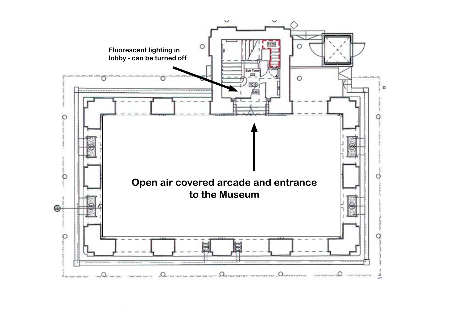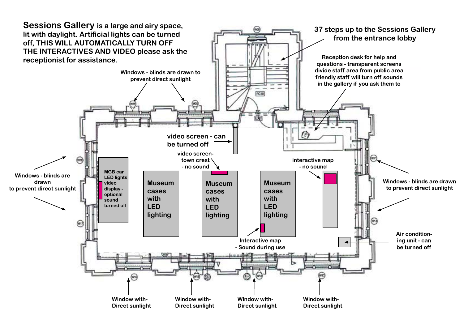